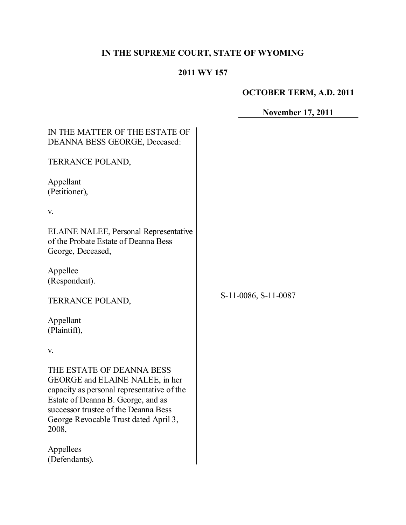# **IN THE SUPREME COURT, STATE OF WYOMING**

## **2011 WY 157**

 $\mathcal{L}$ 

# **OCTOBER TERM, A.D. 2011**

**November 17, 2011**

| IN THE MATTER OF THE ESTATE OF<br><b>DEANNA BESS GEORGE, Deceased:</b>                                                                                                                                                                     |                      |  |
|--------------------------------------------------------------------------------------------------------------------------------------------------------------------------------------------------------------------------------------------|----------------------|--|
| TERRANCE POLAND,                                                                                                                                                                                                                           |                      |  |
| Appellant<br>(Petitioner),                                                                                                                                                                                                                 |                      |  |
| V.                                                                                                                                                                                                                                         |                      |  |
| <b>ELAINE NALEE, Personal Representative</b><br>of the Probate Estate of Deanna Bess<br>George, Deceased,                                                                                                                                  |                      |  |
| Appellee<br>(Respondent).                                                                                                                                                                                                                  |                      |  |
| TERRANCE POLAND,                                                                                                                                                                                                                           | S-11-0086, S-11-0087 |  |
| Appellant<br>(Plaintiff),                                                                                                                                                                                                                  |                      |  |
| V.                                                                                                                                                                                                                                         |                      |  |
| THE ESTATE OF DEANNA BESS<br>GEORGE and ELAINE NALEE, in her<br>capacity as personal representative of the<br>Estate of Deanna B. George, and as<br>successor trustee of the Deanna Bess<br>George Revocable Trust dated April 3,<br>2008, |                      |  |
| Appellees<br>(Defendants).                                                                                                                                                                                                                 |                      |  |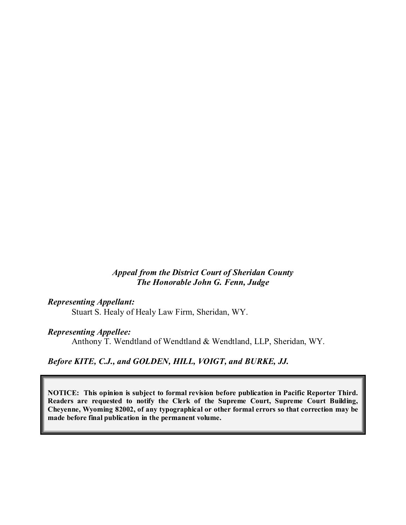#### *Appeal from the District Court of Sheridan County The Honorable John G. Fenn, Judge*

#### *Representing Appellant:*

Stuart S. Healy of Healy Law Firm, Sheridan, WY.

#### *Representing Appellee:*

Anthony T. Wendtland of Wendtland & Wendtland, LLP, Sheridan, WY.

### *Before KITE, C.J., and GOLDEN, HILL, VOIGT, and BURKE, JJ.*

**NOTICE: This opinion is subject to formal revision before publication in Pacific Reporter Third. Readers are requested to notify the Clerk of the Supreme Court, Supreme Court Building, Cheyenne, Wyoming 82002, of any typographical or other formal errors so that correction may be made before final publication in the permanent volume.**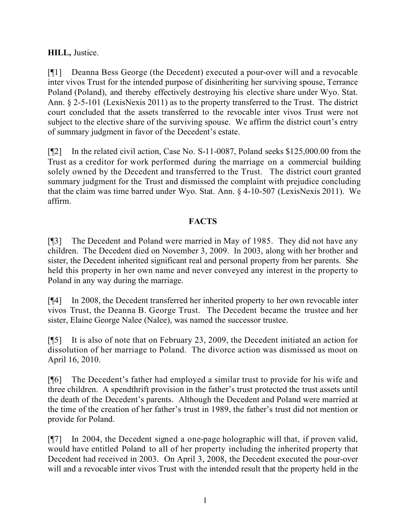## **HILL,** Justice.

[¶1] Deanna Bess George (the Decedent) executed a pour-over will and a revocable inter vivos Trust for the intended purpose of disinheriting her surviving spouse, Terrance Poland (Poland), and thereby effectively destroying his elective share under Wyo. Stat. Ann. § 2-5-101 (LexisNexis 2011) as to the property transferred to the Trust. The district court concluded that the assets transferred to the revocable inter vivos Trust were not subject to the elective share of the surviving spouse. We affirm the district court's entry of summary judgment in favor of the Decedent's estate.

[¶2] In the related civil action, Case No. S-11-0087, Poland seeks \$125,000.00 from the Trust as a creditor for work performed during the marriage on a commercial building solely owned by the Decedent and transferred to the Trust. The district court granted summary judgment for the Trust and dismissed the complaint with prejudice concluding that the claim was time barred under Wyo. Stat. Ann. § 4-10-507 (LexisNexis 2011). We affirm.

### **FACTS**

[¶3] The Decedent and Poland were married in May of 1985. They did not have any children. The Decedent died on November 3, 2009. In 2003, along with her brother and sister, the Decedent inherited significant real and personal property from her parents. She held this property in her own name and never conveyed any interest in the property to Poland in any way during the marriage.

[¶4] In 2008, the Decedent transferred her inherited property to her own revocable inter vivos Trust, the Deanna B. George Trust. The Decedent became the trustee and her sister, Elaine George Nalee (Nalee), was named the successor trustee.

[¶5] It is also of note that on February 23, 2009, the Decedent initiated an action for dissolution of her marriage to Poland. The divorce action was dismissed as moot on April 16, 2010.

[¶6] The Decedent's father had employed a similar trust to provide for his wife and three children. A spendthrift provision in the father's trust protected the trust assets until the death of the Decedent's parents. Although the Decedent and Poland were married at the time of the creation of her father's trust in 1989, the father's trust did not mention or provide for Poland.

[¶7] In 2004, the Decedent signed a one-page holographic will that, if proven valid, would have entitled Poland to all of her property including the inherited property that Decedent had received in 2003. On April 3, 2008, the Decedent executed the pour-over will and a revocable inter vivos Trust with the intended result that the property held in the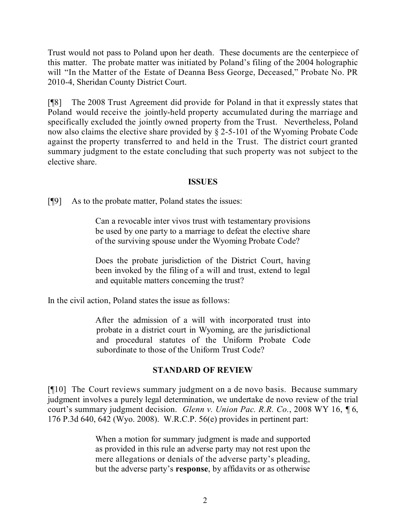Trust would not pass to Poland upon her death. These documents are the centerpiece of this matter. The probate matter was initiated by Poland's filing of the 2004 holographic will "In the Matter of the Estate of Deanna Bess George, Deceased," Probate No. PR 2010-4, Sheridan County District Court.

[¶8] The 2008 Trust Agreement did provide for Poland in that it expressly states that Poland would receive the jointly-held property accumulated during the marriage and specifically excluded the jointly owned property from the Trust. Nevertheless, Poland now also claims the elective share provided by § 2-5-101 of the Wyoming Probate Code against the property transferred to and held in the Trust. The district court granted summary judgment to the estate concluding that such property was not subject to the elective share.

#### **ISSUES**

[¶9] As to the probate matter, Poland states the issues:

Can a revocable inter vivos trust with testamentary provisions be used by one party to a marriage to defeat the elective share of the surviving spouse under the Wyoming Probate Code?

Does the probate jurisdiction of the District Court, having been invoked by the filing of a will and trust, extend to legal and equitable matters concerning the trust?

In the civil action, Poland states the issue as follows:

After the admission of a will with incorporated trust into probate in a district court in Wyoming, are the jurisdictional and procedural statutes of the Uniform Probate Code subordinate to those of the Uniform Trust Code?

#### **STANDARD OF REVIEW**

[¶10] The Court reviews summary judgment on a de novo basis. Because summary judgment involves a purely legal determination, we undertake de novo review of the trial court's summary judgment decision. *Glenn v. Union Pac. R.R. Co.*, 2008 WY 16, ¶ 6, 176 P.3d 640, 642 (Wyo. 2008). W.R.C.P. 56(e) provides in pertinent part:

> When a motion for summary judgment is made and supported as provided in this rule an adverse party may not rest upon the mere allegations or denials of the adverse party's pleading, but the adverse party's **response**, by affidavits or as otherwise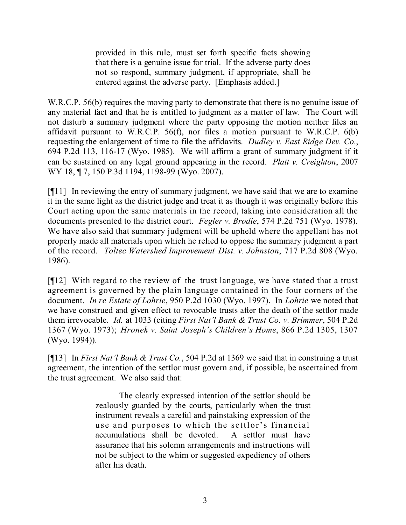provided in this rule, must set forth specific facts showing that there is a genuine issue for trial. If the adverse party does not so respond, summary judgment, if appropriate, shall be entered against the adverse party. [Emphasis added.]

W.R.C.P. 56(b) requires the moving party to demonstrate that there is no genuine issue of any material fact and that he is entitled to judgment as a matter of law. The Court will not disturb a summary judgment where the party opposing the motion neither files an affidavit pursuant to W.R.C.P. 56(f), nor files a motion pursuant to W.R.C.P. 6(b) requesting the enlargement of time to file the affidavits. *Dudley v. East Ridge Dev. Co.*, 694 P.2d 113, 116-17 (Wyo. 1985). We will affirm a grant of summary judgment if it can be sustained on any legal ground appearing in the record. *Platt v. Creighton*, 2007 WY 18, ¶ 7, 150 P.3d 1194, 1198-99 (Wyo. 2007).

[¶11] In reviewing the entry of summary judgment, we have said that we are to examine it in the same light as the district judge and treat it as though it was originally before this Court acting upon the same materials in the record, taking into consideration all the documents presented to the district court. *Fegler v. Brodie*, 574 P.2d 751 (Wyo. 1978). We have also said that summary judgment will be upheld where the appellant has not properly made all materials upon which he relied to oppose the summary judgment a part of the record. *Toltec Watershed Improvement Dist. v. Johnston*, 717 P.2d 808 (Wyo. 1986).

[¶12] With regard to the review of the trust language, we have stated that a trust agreement is governed by the plain language contained in the four corners of the document. *In re Estate of Lohrie*, 950 P.2d 1030 (Wyo. 1997). In *Lohrie* we noted that we have construed and given effect to revocable trusts after the death of the settlor made them irrevocable. *Id.* at 1033 (citing *First Nat'l Bank & Trust Co. v. Brimmer*, 504 P.2d 1367 (Wyo. 1973); *Hronek v. Saint Joseph's Children's Home*, 866 P.2d 1305, 1307 (Wyo. 1994)).

[¶13] In *First Nat'l Bank & Trust Co.*, 504 P.2d at 1369 we said that in construing a trust agreement, the intention of the settlor must govern and, if possible, be ascertained from the trust agreement. We also said that:

> The clearly expressed intention of the settlor should be zealously guarded by the courts, particularly when the trust instrument reveals a careful and painstaking expression of the use and purposes to which the settlor's financial accumulations shall be devoted. A settlor must have assurance that his solemn arrangements and instructions will not be subject to the whim or suggested expediency of others after his death.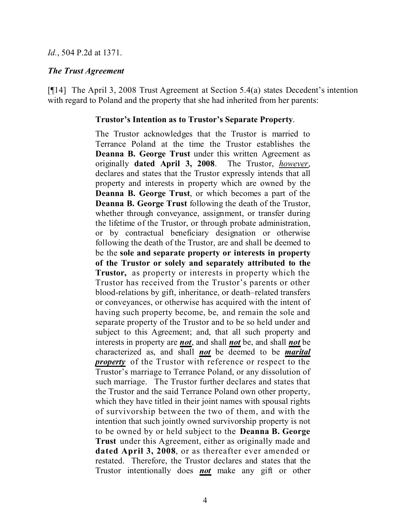#### *Id.*, 504 P.2d at 1371.

#### *The Trust Agreement*

[¶14] The April 3, 2008 Trust Agreement at Section 5.4(a) states Decedent's intention with regard to Poland and the property that she had inherited from her parents:

#### **Trustor's Intention as to Trustor's Separate Property**.

The Trustor acknowledges that the Trustor is married to Terrance Poland at the time the Trustor establishes the **Deanna B. George Trust** under this written Agreement as originally **dated April 3, 2008**. The Trustor, *however*, declares and states that the Trustor expressly intends that all property and interests in property which are owned by the **Deanna B. George Trust**, or which becomes a part of the **Deanna B. George Trust** following the death of the Trustor, whether through conveyance, assignment, or transfer during the lifetime of the Trustor, or through probate administration, or by contractual beneficiary designation or otherwise following the death of the Trustor, are and shall be deemed to be the **sole and separate property or interests in property of the Trustor or solely and separately attributed to the Trustor,** as property or interests in property which the Trustor has received from the Trustor's parents or other blood-relations by gift, inheritance, or death–related transfers or conveyances, or otherwise has acquired with the intent of having such property become, be, and remain the sole and separate property of the Trustor and to be so held under and subject to this Agreement; and, that all such property and interests in property are *not*, and shall *not* be, and shall *not* be characterized as, and shall *not* be deemed to be *marital property* of the Trustor with reference or respect to the Trustor's marriage to Terrance Poland, or any dissolution of such marriage. The Trustor further declares and states that the Trustor and the said Terrance Poland own other property, which they have titled in their joint names with spousal rights of survivorship between the two of them, and with the intention that such jointly owned survivorship property is not to be owned by or held subject to the **Deanna B. George Trust** under this Agreement, either as originally made and **dated April 3, 2008**, or as thereafter ever amended or restated. Therefore, the Trustor declares and states that the Trustor intentionally does *not* make any gift or other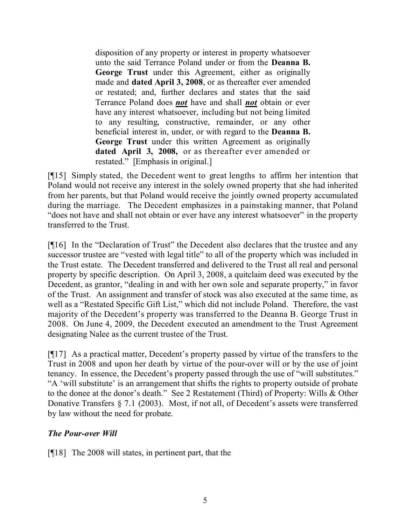disposition of any property or interest in property whatsoever unto the said Terrance Poland under or from the **Deanna B. George Trust** under this Agreement, either as originally made and **dated April 3, 2008**, or as thereafter ever amended or restated; and, further declares and states that the said Terrance Poland does *not* have and shall *not* obtain or ever have any interest whatsoever, including but not being limited to any resulting, constructive, remainder, or any other beneficial interest in, under, or with regard to the **Deanna B. George Trust** under this written Agreement as originally **dated April 3, 2008,** or as thereafter ever amended or restated." [Emphasis in original.]

[¶15] Simply stated, the Decedent went to great lengths to affirm her intention that Poland would not receive any interest in the solely owned property that she had inherited from her parents, but that Poland would receive the jointly owned property accumulated during the marriage. The Decedent emphasizes in a painstaking manner, that Poland "does not have and shall not obtain or ever have any interest whatsoever" in the property transferred to the Trust.

[¶16] In the "Declaration of Trust" the Decedent also declares that the trustee and any successor trustee are "vested with legal title" to all of the property which was included in the Trust estate. The Decedent transferred and delivered to the Trust all real and personal property by specific description. On April 3, 2008, a quitclaim deed was executed by the Decedent, as grantor, "dealing in and with her own sole and separate property," in favor of the Trust. An assignment and transfer of stock was also executed at the same time, as well as a "Restated Specific Gift List," which did not include Poland. Therefore, the vast majority of the Decedent's property was transferred to the Deanna B. George Trust in 2008. On June 4, 2009, the Decedent executed an amendment to the Trust Agreement designating Nalee as the current trustee of the Trust.

[¶17] As a practical matter, Decedent's property passed by virtue of the transfers to the Trust in 2008 and upon her death by virtue of the pour-over will or by the use of joint tenancy. In essence, the Decedent's property passed through the use of "will substitutes." "A 'will substitute' is an arrangement that shifts the rights to property outside of probate to the donee at the donor's death." See 2 Restatement (Third) of Property: Wills & Other Donative Transfers § 7.1 (2003). Most, if not all, of Decedent's assets were transferred by law without the need for probate.

# *The Pour-over Will*

[¶18] The 2008 will states, in pertinent part, that the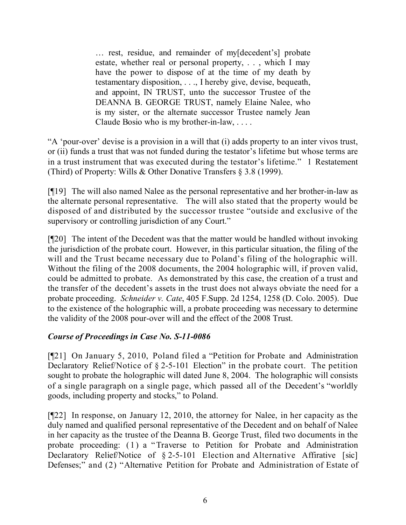… rest, residue, and remainder of my[decedent's] probate estate, whether real or personal property, . . , which I may have the power to dispose of at the time of my death by testamentary disposition, . . ., I hereby give, devise, bequeath, and appoint, IN TRUST, unto the successor Trustee of the DEANNA B. GEORGE TRUST, namely Elaine Nalee, who is my sister, or the alternate successor Trustee namely Jean Claude Bosio who is my brother-in-law, . . . .

"A 'pour-over' devise is a provision in a will that (i) adds property to an inter vivos trust, or (ii) funds a trust that was not funded during the testator's lifetime but whose terms are in a trust instrument that was executed during the testator's lifetime." 1 Restatement (Third) of Property: Wills & Other Donative Transfers § 3.8 (1999).

[¶19] The will also named Nalee as the personal representative and her brother-in-law as the alternate personal representative. The will also stated that the property would be disposed of and distributed by the successor trustee "outside and exclusive of the supervisory or controlling jurisdiction of any Court."

[¶20] The intent of the Decedent was that the matter would be handled without invoking the jurisdiction of the probate court. However, in this particular situation, the filing of the will and the Trust became necessary due to Poland's filing of the holographic will. Without the filing of the 2008 documents, the 2004 holographic will, if proven valid, could be admitted to probate. As demonstrated by this case, the creation of a trust and the transfer of the decedent's assets in the trust does not always obviate the need for a probate proceeding. *Schneider v. Cate*, 405 F.Supp. 2d 1254, 1258 (D. Colo. 2005). Due to the existence of the holographic will, a probate proceeding was necessary to determine the validity of the 2008 pour-over will and the effect of the 2008 Trust.

# *Course of Proceedings in Case No. S-11-0086*

[¶21] On January 5, 2010, Poland filed a "Petition for Probate and Administration Declaratory Relief/Notice of § 2-5-101 Election" in the probate court. The petition sought to probate the holographic will dated June 8, 2004. The holographic will consists of a single paragraph on a single page, which passed all of the Decedent's "worldly goods, including property and stocks," to Poland.

[¶22] In response, on January 12, 2010, the attorney for Nalee, in her capacity as the duly named and qualified personal representative of the Decedent and on behalf of Nalee in her capacity as the trustee of the Deanna B. George Trust, filed two documents in the probate proceeding: (1) a "Traverse to Petition for Probate and Administration Declaratory Relief/Notice of § 2-5-101 Election and Alternative Affirative [sic] Defenses;" and (2) "Alternative Petition for Probate and Administration of Estate of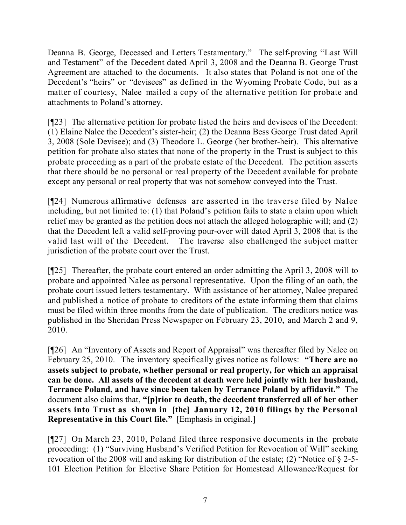Deanna B. George, Deceased and Letters Testamentary." The self-proving "Last Will and Testament" of the Decedent dated April 3, 2008 and the Deanna B. George Trust Agreement are attached to the documents. It also states that Poland is not one of the Decedent's "heirs" or "devisees" as defined in the Wyoming Probate Code, but as a matter of courtesy, Nalee mailed a copy of the alternative petition for probate and attachments to Poland's attorney.

[¶23] The alternative petition for probate listed the heirs and devisees of the Decedent: (1) Elaine Nalee the Decedent's sister-heir; (2**)** the Deanna Bess George Trust dated April 3, 2008 (Sole Devisee); and (3) Theodore L. George (her brother-heir). This alternative petition for probate also states that none of the property in the Trust is subject to this probate proceeding as a part of the probate estate of the Decedent. The petition asserts that there should be no personal or real property of the Decedent available for probate except any personal or real property that was not somehow conveyed into the Trust.

[¶24] Numerous affirmative defenses are asserted in the traverse filed by Nalee including, but not limited to: (1) that Poland's petition fails to state a claim upon which relief may be granted as the petition does not attach the alleged holographic will; and (2) that the Decedent left a valid self-proving pour-over will dated April 3, 2008 that is the valid last will of the Decedent. The traverse also challenged the subject matter jurisdiction of the probate court over the Trust.

[¶25] Thereafter, the probate court entered an order admitting the April 3, 2008 will to probate and appointed Nalee as personal representative. Upon the filing of an oath, the probate court issued letters testamentary. With assistance of her attorney, Nalee prepared and published a notice of probate to creditors of the estate informing them that claims must be filed within three months from the date of publication. The creditors notice was published in the Sheridan Press Newspaper on February 23, 2010, and March 2 and 9, 2010.

[¶26] An "Inventory of Assets and Report of Appraisal" was thereafter filed by Nalee on February 25, 2010. The inventory specifically gives notice as follows: **"There are no assets subject to probate, whether personal or real property, for which an appraisal can be done. All assets of the decedent at death were held jointly with her husband, Terrance Poland, and have since been taken by Terrance Poland by affidavit."** The document also claims that, **"[p]rior to death, the decedent transferred all of her other assets into Trust as shown in [the] January 12, 2010 filings by the Personal Representative in this Court file."** [Emphasis in original.]

[¶27] On March 23, 2010, Poland filed three responsive documents in the probate proceeding: (1) "Surviving Husband's Verified Petition for Revocation of Will" seeking revocation of the 2008 will and asking for distribution of the estate; (2) "Notice of § 2-5- 101 Election Petition for Elective Share Petition for Homestead Allowance/Request for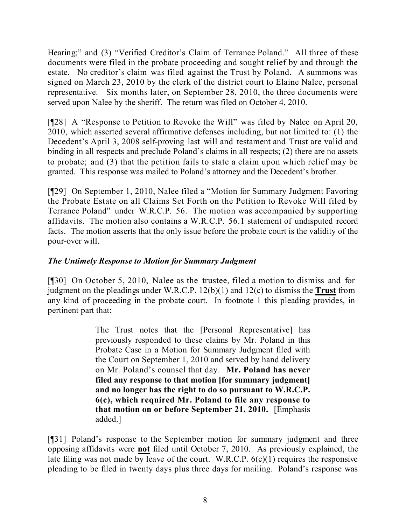Hearing;" and (3) "Verified Creditor's Claim of Terrance Poland." All three of these documents were filed in the probate proceeding and sought relief by and through the estate. No creditor's claim was filed against the Trust by Poland. A summons was signed on March 23, 2010 by the clerk of the district court to Elaine Nalee, personal representative. Six months later, on September 28, 2010, the three documents were served upon Nalee by the sheriff. The return was filed on October 4, 2010.

[¶28] A "Response to Petition to Revoke the Will" was filed by Nalee on April 20, 2010, which asserted several affirmative defenses including, but not limited to: (1) the Decedent's April 3, 2008 self-proving last will and testament and Trust are valid and binding in all respects and preclude Poland's claims in all respects; (2) there are no assets to probate; and (3) that the petition fails to state a claim upon which relief may be granted. This response was mailed to Poland's attorney and the Decedent's brother.

[¶29] On September 1, 2010, Nalee filed a "Motion for Summary Judgment Favoring the Probate Estate on all Claims Set Forth on the Petition to Revoke Will filed by Terrance Poland" under W.R.C.P. 56. The motion was accompanied by supporting affidavits. The motion also contains a W.R.C.P. 56.1 statement of undisputed record facts. The motion asserts that the only issue before the probate court is the validity of the pour-over will.

# *The Untimely Response to Motion for Summary Judgment*

[¶30] On October 5, 2010, Nalee as the trustee, filed a motion to dismiss and for judgment on the pleadings under W.R.C.P. 12(b)(1) and 12(c) to dismiss the **Trust** from any kind of proceeding in the probate court. In footnote 1 this pleading provides, in pertinent part that:

> The Trust notes that the [Personal Representative] has previously responded to these claims by Mr. Poland in this Probate Case in a Motion for Summary Judgment filed with the Court on September 1, 2010 and served by hand delivery on Mr. Poland's counsel that day. **Mr. Poland has never filed any response to that motion [for summary judgment] and no longer has the right to do so pursuant to W.R.C.P. 6(c), which required Mr. Poland to file any response to that motion on or before September 21, 2010.** [Emphasis added.]

[¶31] Poland's response to the September motion for summary judgment and three opposing affidavits were **not** filed until October 7, 2010. As previously explained, the late filing was not made by leave of the court. W.R.C.P.  $6(c)(1)$  requires the responsive pleading to be filed in twenty days plus three days for mailing. Poland's response was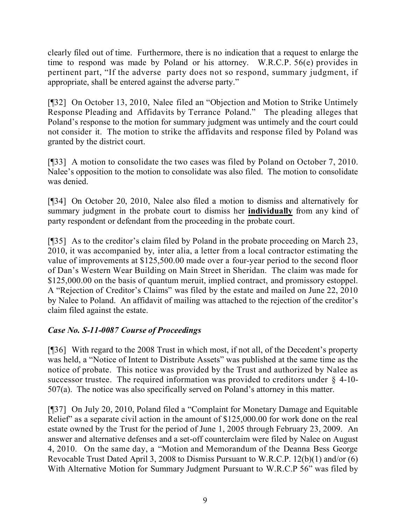clearly filed out of time. Furthermore, there is no indication that a request to enlarge the time to respond was made by Poland or his attorney. W.R.C.P. 56(e) provides in pertinent part, "If the adverse party does not so respond, summary judgment, if appropriate, shall be entered against the adverse party."

[¶32] On October 13, 2010, Nalee filed an "Objection and Motion to Strike Untimely Response Pleading and Affidavits by Terrance Poland." The pleading alleges that Poland's response to the motion for summary judgment was untimely and the court could not consider it. The motion to strike the affidavits and response filed by Poland was granted by the district court.

[¶33] A motion to consolidate the two cases was filed by Poland on October 7, 2010. Nalee's opposition to the motion to consolidate was also filed. The motion to consolidate was denied.

[¶34] On October 20, 2010, Nalee also filed a motion to dismiss and alternatively for summary judgment in the probate court to dismiss her **individually** from any kind of party respondent or defendant from the proceeding in the probate court.

[¶35] As to the creditor's claim filed by Poland in the probate proceeding on March 23, 2010, it was accompanied by, inter alia, a letter from a local contractor estimating the value of improvements at \$125,500.00 made over a four-year period to the second floor of Dan's Western Wear Building on Main Street in Sheridan. The claim was made for \$125,000.00 on the basis of quantum meruit, implied contract, and promissory estoppel. A "Rejection of Creditor's Claims" was filed by the estate and mailed on June 22, 2010 by Nalee to Poland. An affidavit of mailing was attached to the rejection of the creditor's claim filed against the estate.

# *Case No. S-11-0087 Course of Proceedings*

[¶36] With regard to the 2008 Trust in which most, if not all, of the Decedent's property was held, a "Notice of Intent to Distribute Assets" was published at the same time as the notice of probate. This notice was provided by the Trust and authorized by Nalee as successor trustee. The required information was provided to creditors under  $\S$  4-10-507(a). The notice was also specifically served on Poland's attorney in this matter.

[¶37] On July 20, 2010, Poland filed a "Complaint for Monetary Damage and Equitable Relief" as a separate civil action in the amount of \$125,000.00 for work done on the real estate owned by the Trust for the period of June 1, 2005 through February 23, 2009. An answer and alternative defenses and a set-off counterclaim were filed by Nalee on August 4, 2010. On the same day, a "Motion and Memorandum of the Deanna Bess George Revocable Trust Dated April 3, 2008 to Dismiss Pursuant to W.R.C.P. 12(b)(1) and/or (6) With Alternative Motion for Summary Judgment Pursuant to W.R.C.P 56" was filed by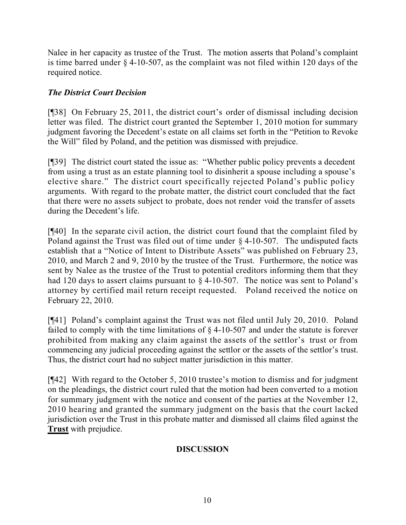Nalee in her capacity as trustee of the Trust. The motion asserts that Poland's complaint is time barred under § 4-10-507, as the complaint was not filed within 120 days of the required notice.

# *The District Court Decision*

[¶38] On February 25, 2011, the district court's order of dismissal including decision letter was filed. The district court granted the September 1, 2010 motion for summary judgment favoring the Decedent's estate on all claims set forth in the "Petition to Revoke the Will" filed by Poland, and the petition was dismissed with prejudice.

[¶39] The district court stated the issue as: "Whether public policy prevents a decedent from using a trust as an estate planning tool to disinherit a spouse including a spouse's elective share." The district court specifically rejected Poland's public policy arguments. With regard to the probate matter, the district court concluded that the fact that there were no assets subject to probate, does not render void the transfer of assets during the Decedent's life.

[¶40] In the separate civil action, the district court found that the complaint filed by Poland against the Trust was filed out of time under § 4-10-507. The undisputed facts establish that a "Notice of Intent to Distribute Assets" was published on February 23, 2010, and March 2 and 9, 2010 by the trustee of the Trust. Furthermore, the notice was sent by Nalee as the trustee of the Trust to potential creditors informing them that they had 120 days to assert claims pursuant to § 4-10-507. The notice was sent to Poland's attorney by certified mail return receipt requested. Poland received the notice on February 22, 2010.

[¶41] Poland's complaint against the Trust was not filed until July 20, 2010. Poland failed to comply with the time limitations of § 4-10-507 and under the statute is forever prohibited from making any claim against the assets of the settlor's trust or from commencing any judicial proceeding against the settlor or the assets of the settlor's trust. Thus, the district court had no subject matter jurisdiction in this matter.

[¶42] With regard to the October 5, 2010 trustee's motion to dismiss and for judgment on the pleadings, the district court ruled that the motion had been converted to a motion for summary judgment with the notice and consent of the parties at the November 12, 2010 hearing and granted the summary judgment on the basis that the court lacked jurisdiction over the Trust in this probate matter and dismissed all claims filed against the **Trust** with prejudice.

# **DISCUSSION**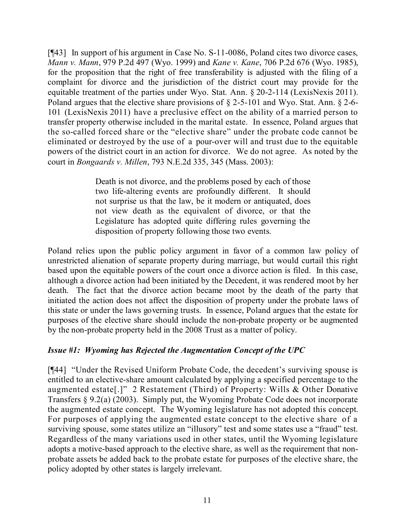[¶43] In support of his argument in Case No. S-11-0086, Poland cites two divorce cases, *Mann v. Mann*, 979 P.2d 497 (Wyo. 1999) and *Kane v. Kane*, 706 P.2d 676 (Wyo. 1985), for the proposition that the right of free transferability is adjusted with the filing of a complaint for divorce and the jurisdiction of the district court may provide for the equitable treatment of the parties under Wyo. Stat. Ann. § 20-2-114 (LexisNexis 2011). Poland argues that the elective share provisions of § 2-5-101 and Wyo. Stat. Ann. § 2-6- 101 (LexisNexis 2011) have a preclusive effect on the ability of a married person to transfer property otherwise included in the marital estate. In essence, Poland argues that the so-called forced share or the "elective share" under the probate code cannot be eliminated or destroyed by the use of a pour-over will and trust due to the equitable powers of the district court in an action for divorce. We do not agree. As noted by the court in *Bongaards v. Millen*, 793 N.E.2d 335, 345 (Mass. 2003):

> Death is not divorce, and the problems posed by each of those two life-altering events are profoundly different. It should not surprise us that the law, be it modern or antiquated, does not view death as the equivalent of divorce, or that the Legislature has adopted quite differing rules governing the disposition of property following those two events.

Poland relies upon the public policy argument in favor of a common law policy of unrestricted alienation of separate property during marriage, but would curtail this right based upon the equitable powers of the court once a divorce action is filed. In this case, although a divorce action had been initiated by the Decedent, it was rendered moot by her death. The fact that the divorce action became moot by the death of the party that initiated the action does not affect the disposition of property under the probate laws of this state or under the laws governing trusts. In essence, Poland argues that the estate for purposes of the elective share should include the non-probate property or be augmented by the non-probate property held in the 2008 Trust as a matter of policy.

#### *Issue #1: Wyoming has Rejected the Augmentation Concept of the UPC*

[¶44] "Under the Revised Uniform Probate Code, the decedent's surviving spouse is entitled to an elective-share amount calculated by applying a specified percentage to the augmented estate[.]" 2 Restatement (Third) of Property: Wills & Other Donative Transfers § 9.2(a) (2003). Simply put, the Wyoming Probate Code does not incorporate the augmented estate concept. The Wyoming legislature has not adopted this concept. For purposes of applying the augmented estate concept to the elective share of a surviving spouse, some states utilize an "illusory" test and some states use a "fraud" test. Regardless of the many variations used in other states, until the Wyoming legislature adopts a motive-based approach to the elective share, as well as the requirement that nonprobate assets be added back to the probate estate for purposes of the elective share, the policy adopted by other states is largely irrelevant.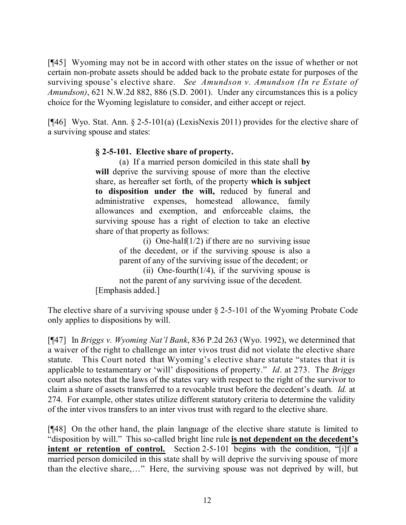[¶45] Wyoming may not be in accord with other states on the issue of whether or not certain non-probate assets should be added back to the probate estate for purposes of the surviving spouse's elective share. *See Amundson v. Amundson (In re Estate of Amundson)*, 621 N.W.2d 882, 886 (S.D. 2001). Under any circumstances this is a policy choice for the Wyoming legislature to consider, and either accept or reject.

[¶46] Wyo. Stat. Ann. § 2-5-101(a) (LexisNexis 2011) provides for the elective share of a surviving spouse and states:

### **§ 2-5-101. Elective share of property.**

(a) If a married person domiciled in this state shall **by will** deprive the surviving spouse of more than the elective share, as hereafter set forth, of the property **which is subject to disposition under the will,** reduced by funeral and administrative expenses, homestead allowance, family allowances and exemption, and enforceable claims, the surviving spouse has a right of election to take an elective share of that property as follows:

> (i) One-half $(1/2)$  if there are no surviving issue of the decedent, or if the surviving spouse is also a parent of any of the surviving issue of the decedent; or

(ii) One-fourth $(1/4)$ , if the surviving spouse is not the parent of any surviving issue of the decedent. [Emphasis added.]

The elective share of a surviving spouse under § 2-5-101 of the Wyoming Probate Code only applies to dispositions by will.

[¶47] In *Briggs v. Wyoming Nat'l Bank*, 836 P.2d 263 (Wyo. 1992), we determined that a waiver of the right to challenge an inter vivos trust did not violate the elective share statute. This Court noted that Wyoming's elective share statute "states that it is applicable to testamentary or 'will' dispositions of property." *Id*. at 273. The *Briggs* court also notes that the laws of the states vary with respect to the right of the survivor to claim a share of assets transferred to a revocable trust before the decedent's death. *Id.* at 274. For example, other states utilize different statutory criteria to determine the validity of the inter vivos transfers to an inter vivos trust with regard to the elective share.

[¶48] On the other hand, the plain language of the elective share statute is limited to "disposition by will." This so-called bright line rule **is not dependent on the decedent's intent** or **retention** of **control.** Section 2-5-101 begins with the condition, "[i]f a married person domiciled in this state shall by will deprive the surviving spouse of more than the elective share,…" Here, the surviving spouse was not deprived by will, but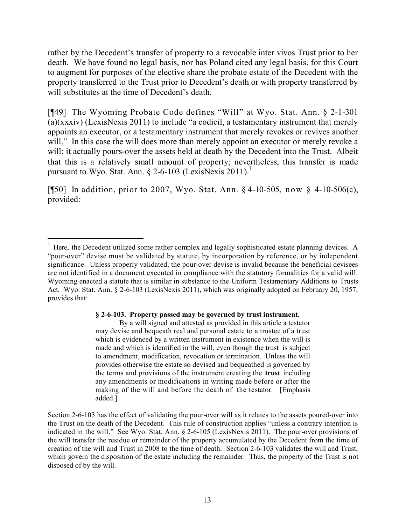rather by the Decedent's transfer of property to a revocable inter vivos Trust prior to her death. We have found no legal basis, nor has Poland cited any legal basis, for this Court to augment for purposes of the elective share the probate estate of the Decedent with the property transferred to the Trust prior to Decedent's death or with property transferred by will substitutes at the time of Decedent's death.

[¶49] The Wyoming Probate Code defines "Will" at Wyo. Stat. Ann. § 2-1-301 (a)(xxxiv) (LexisNexis 2011) to include "a codicil, a testamentary instrument that merely appoints an executor, or a testamentary instrument that merely revokes or revives another will." In this case the will does more than merely appoint an executor or merely revoke a will; it actually pours-over the assets held at death by the Decedent into the Trust. Albeit that this is a relatively small amount of property; nevertheless, this transfer is made pursuant to Wyo. Stat. Ann. § 2-6-103 (LexisNexis 2011).<sup>1</sup>

[¶50] In addition, prior to 2007, Wyo. Stat. Ann. § 4-10-505, now § 4-10-506(c), provided:

 $\overline{a}$ 

#### **§ 2-6-103. Property passed may be governed by trust instrument.**

By a will signed and attested as provided in this article a testator may devise and bequeath real and personal estate to a trustee of a trust which is evidenced by a written instrument in existence when the will is made and which is identified in the will, even though the trust is subject to amendment, modification, revocation or termination. Unless the will provides otherwise the estate so devised and bequeathed is governed by the terms and provisions of the instrument creating the **trust** including any amendments or modifications in writing made before or after the making of the will and before the death of the testator. [Emphasis added.]

Section 2-6-103 has the effect of validating the pour-over will as it relates to the assets poured-over into the Trust on the death of the Decedent. This rule of construction applies "unless a contrary intention is indicated in the will." See Wyo. Stat. Ann. § 2-6-105 (LexisNexis 2011). The pour-over provisions of the will transfer the residue or remainder of the property accumulated by the Decedent from the time of creation of the will and Trust in 2008 to the time of death. Section 2-6-103 validates the will and Trust, which govern the disposition of the estate including the remainder. Thus, the property of the Trust is not disposed of by the will.

<sup>&</sup>lt;sup>1</sup> Here, the Decedent utilized some rather complex and legally sophisticated estate planning devices. A "pour-over" devise must be validated by statute, by incorporation by reference, or by independent significance. Unless properly validated, the pour-over devise is invalid because the beneficial devisees are not identified in a document executed in compliance with the statutory formalities for a valid will. Wyoming enacted a statute that is similar in substance to the Uniform Testamentary Additions to Trusts Act. Wyo. Stat. Ann. § 2-6-103 (LexisNexis 2011), which was originally adopted on February 20, 1957, provides that: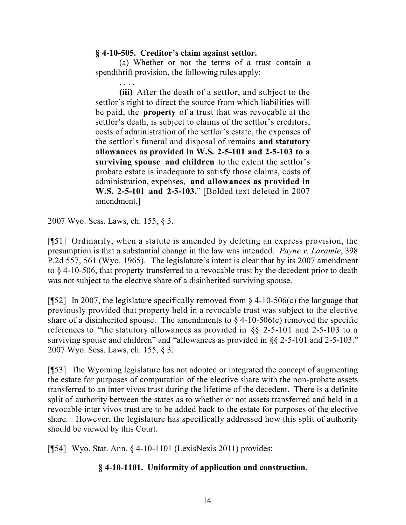#### **§ 4-10-505. Creditor's claim against settlor.**

(a) Whether or not the terms of a trust contain a spendthrift provision, the following rules apply:

. . . . **(iii)** After the death of a settlor, and subject to the settlor's right to direct the source from which liabilities will be paid, the **property** of a trust that was revocable at the settlor's death, is subject to claims of the settlor's creditors, costs of administration of the settlor's estate, the expenses of the settlor's funeral and disposal of remains **and statutory allowances as provided in W.S. 2-5-101 and 2-5-103 to a surviving spouse and children** to the extent the settlor's probate estate is inadequate to satisfy those claims, costs of administration, expenses, **and allowances as provided in W.S. 2-5-101 and 2-5-103.**" [Bolded text deleted in 2007 amendment.]

2007 Wyo. Sess. Laws, ch. 155, § 3.

[¶51] Ordinarily, when a statute is amended by deleting an express provision, the presumption is that a substantial change in the law was intended. *Payne v. Laramie*, 398 P.2d 557, 561 (Wyo. 1965). The legislature's intent is clear that by its 2007 amendment to § 4-10-506, that property transferred to a revocable trust by the decedent prior to death was not subject to the elective share of a disinherited surviving spouse.

[ $[$ [52] In 2007, the legislature specifically removed from  $\frac{1}{2}$  4-10-506(c) the language that previously provided that property held in a revocable trust was subject to the elective share of a disinherited spouse. The amendments to  $\S$  4-10-506(c) removed the specific references to "the statutory allowances as provided in §§ 2-5-101 and 2-5-103 to a surviving spouse and children" and "allowances as provided in  $\&$  2-5-101 and 2-5-103." 2007 Wyo. Sess. Laws, ch. 155, § 3.

[¶53] The Wyoming legislature has not adopted or integrated the concept of augmenting the estate for purposes of computation of the elective share with the non-probate assets transferred to an inter vivos trust during the lifetime of the decedent. There is a definite split of authority between the states as to whether or not assets transferred and held in a revocable inter vivos trust are to be added back to the estate for purposes of the elective share. However, the legislature has specifically addressed how this split of authority should be viewed by this Court.

[¶54] Wyo. Stat. Ann. § 4-10-1101 (LexisNexis 2011) provides:

# **§ 4-10-1101. Uniformity of application and construction.**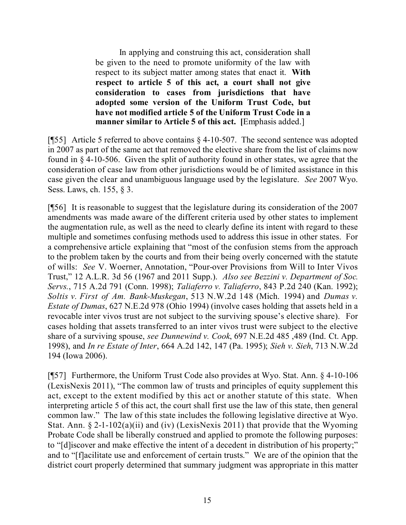In applying and construing this act, consideration shall be given to the need to promote uniformity of the law with respect to its subject matter among states that enact it. **With respect to article 5 of this act, a court shall not give consideration to cases from jurisdictions that have adopted some version of the Uniform Trust Code, but have not modified article 5 of the Uniform Trust Code in a manner similar to Article 5 of this act. [**Emphasis added.]

[ $[$ 55] Article 5 referred to above contains  $\S$  4-10-507. The second sentence was adopted in 2007 as part of the same act that removed the elective share from the list of claims now found in § 4-10-506. Given the split of authority found in other states, we agree that the consideration of case law from other jurisdictions would be of limited assistance in this case given the clear and unambiguous language used by the legislature. *See* 2007 Wyo. Sess. Laws, ch. 155, § 3.

[¶56] It is reasonable to suggest that the legislature during its consideration of the 2007 amendments was made aware of the different criteria used by other states to implement the augmentation rule, as well as the need to clearly define its intent with regard to these multiple and sometimes confusing methods used to address this issue in other states. For a comprehensive article explaining that "most of the confusion stems from the approach to the problem taken by the courts and from their being overly concerned with the statute of wills: *See* V. Woerner, Annotation, "Pour-over Provisions from Will to Inter Vivos Trust," 12 A.L.R. 3d 56 (1967 and 2011 Supp.). *Also see Bezzini v. Department of Soc. Servs.*, 715 A.2d 791 (Conn. 1998); *Taliaferro v. Taliaferro*, 843 P.2d 240 (Kan. 1992); *Soltis v. First of Am. Bank-Muskegan*, 513 N.W.2d 148 (Mich. 1994) and *Dumas v. Estate of Dumas*, 627 N.E.2d 978 (Ohio 1994) (involve cases holding that assets held in a revocable inter vivos trust are not subject to the surviving spouse's elective share). For cases holding that assets transferred to an inter vivos trust were subject to the elective share of a surviving spouse, *see Dunnewind v. Cook*, 697 N.E.2d 485 ,489 (Ind. Ct. App. 1998), and *In re Estate of Inter*, 664 A.2d 142, 147 (Pa. 1995); *Sieh v. Sieh*, 713 N.W.2d 194 (Iowa 2006).

[¶57] Furthermore, the Uniform Trust Code also provides at Wyo. Stat. Ann. § 4-10-106 (LexisNexis 2011), "The common law of trusts and principles of equity supplement this act, except to the extent modified by this act or another statute of this state. When interpreting article 5 of this act, the court shall first use the law of this state, then general common law." The law of this state includes the following legislative directive at Wyo. Stat. Ann. § 2-1-102(a)(ii) and (iv) (LexisNexis 2011) that provide that the Wyoming Probate Code shall be liberally construed and applied to promote the following purposes: to "[d]iscover and make effective the intent of a decedent in distribution of his property;" and to "[f]acilitate use and enforcement of certain trusts." We are of the opinion that the district court properly determined that summary judgment was appropriate in this matter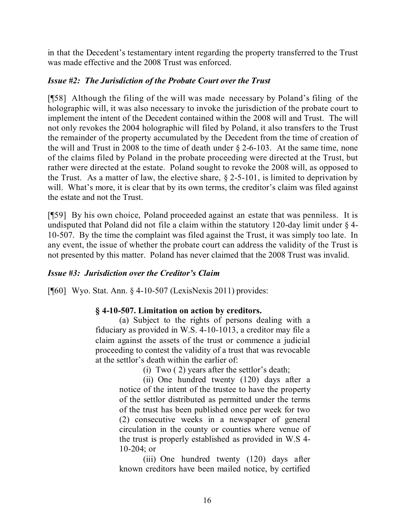in that the Decedent's testamentary intent regarding the property transferred to the Trust was made effective and the 2008 Trust was enforced.

### *Issue #2: The Jurisdiction of the Probate Court over the Trust*

[¶58] Although the filing of the will was made necessary by Poland's filing of the holographic will, it was also necessary to invoke the jurisdiction of the probate court to implement the intent of the Decedent contained within the 2008 will and Trust. The will not only revokes the 2004 holographic will filed by Poland, it also transfers to the Trust the remainder of the property accumulated by the Decedent from the time of creation of the will and Trust in 2008 to the time of death under § 2-6-103. At the same time, none of the claims filed by Poland in the probate proceeding were directed at the Trust, but rather were directed at the estate. Poland sought to revoke the 2008 will, as opposed to the Trust. As a matter of law, the elective share, § 2-5-101, is limited to deprivation by will. What's more, it is clear that by its own terms, the creditor's claim was filed against the estate and not the Trust.

[¶59] By his own choice, Poland proceeded against an estate that was penniless. It is undisputed that Poland did not file a claim within the statutory 120-day limit under  $\S$  4-10-507. By the time the complaint was filed against the Trust, it was simply too late. In any event, the issue of whether the probate court can address the validity of the Trust is not presented by this matter. Poland has never claimed that the 2008 Trust was invalid.

# *Issue #3: Jurisdiction over the Creditor's Claim*

[¶60] Wyo. Stat. Ann. § 4-10-507 (LexisNexis 2011) provides:

# **§ 4-10-507. Limitation on action by creditors.**

(a) Subject to the rights of persons dealing with a fiduciary as provided in W.S. 4-10-1013, a creditor may file a claim against the assets of the trust or commence a judicial proceeding to contest the validity of a trust that was revocable at the settlor's death within the earlier of:

(i) Two ( 2) years after the settlor's death;

(ii) One hundred twenty (120) days after a notice of the intent of the trustee to have the property of the settlor distributed as permitted under the terms of the trust has been published once per week for two (2) consecutive weeks in a newspaper of general circulation in the county or counties where venue of the trust is properly established as provided in W.S 4- 10-204; or

(iii) One hundred twenty (120) days after known creditors have been mailed notice, by certified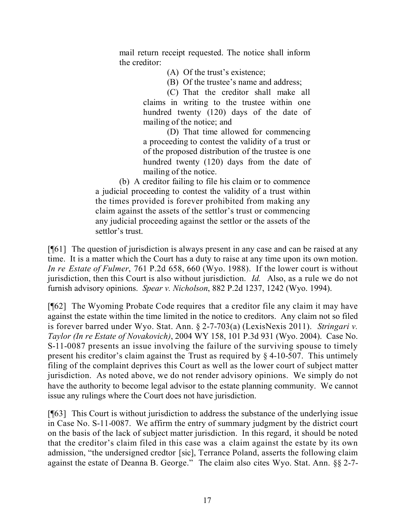mail return receipt requested. The notice shall inform the creditor:

- (A) Of the trust's existence;
- (B) Of the trustee's name and address;

(C) That the creditor shall make all claims in writing to the trustee within one hundred twenty (120) days of the date of mailing of the notice; and

(D) That time allowed for commencing a proceeding to contest the validity of a trust or of the proposed distribution of the trustee is one hundred twenty (120) days from the date of mailing of the notice.

(b) A creditor failing to file his claim or to commence a judicial proceeding to contest the validity of a trust within the times provided is forever prohibited from making any claim against the assets of the settlor's trust or commencing any judicial proceeding against the settlor or the assets of the settlor's trust.

[¶61] The question of jurisdiction is always present in any case and can be raised at any time. It is a matter which the Court has a duty to raise at any time upon its own motion. *In re Estate of Fulmer*, 761 P.2d 658, 660 (Wyo. 1988). If the lower court is without jurisdiction, then this Court is also without jurisdiction. *Id.* Also, as a rule we do not furnish advisory opinions. *Spear v. Nicholson*, 882 P.2d 1237, 1242 (Wyo. 1994).

[¶62] The Wyoming Probate Code requires that a creditor file any claim it may have against the estate within the time limited in the notice to creditors. Any claim not so filed is forever barred under Wyo. Stat. Ann. § 2-7-703(a) (LexisNexis 2011). *Stringari v. Taylor (In re Estate of Novakovich)*, 2004 WY 158, 101 P.3d 931 (Wyo. 2004). Case No. S-11-0087 presents an issue involving the failure of the surviving spouse to timely present his creditor's claim against the Trust as required by § 4-10-507. This untimely filing of the complaint deprives this Court as well as the lower court of subject matter jurisdiction. As noted above, we do not render advisory opinions. We simply do not have the authority to become legal advisor to the estate planning community. We cannot issue any rulings where the Court does not have jurisdiction.

[¶63] This Court is without jurisdiction to address the substance of the underlying issue in Case No. S-11-0087. We affirm the entry of summary judgment by the district court on the basis of the lack of subject matter jurisdiction. In this regard, it should be noted that the creditor's claim filed in this case was a claim against the estate by its own admission, "the undersigned credtor [sic], Terrance Poland, asserts the following claim against the estate of Deanna B. George." The claim also cites Wyo. Stat. Ann. §§ 2-7-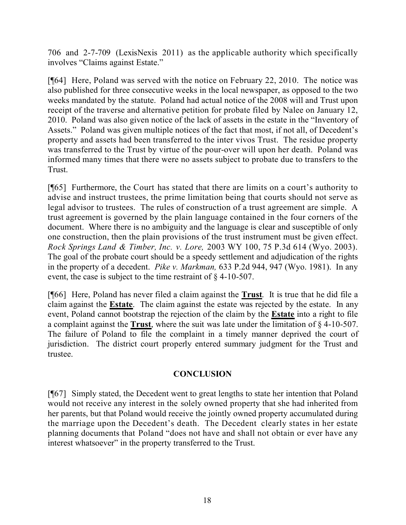706 and 2-7-709 (LexisNexis 2011) as the applicable authority which specifically involves "Claims against Estate."

[¶64] Here, Poland was served with the notice on February 22, 2010. The notice was also published for three consecutive weeks in the local newspaper, as opposed to the two weeks mandated by the statute. Poland had actual notice of the 2008 will and Trust upon receipt of the traverse and alternative petition for probate filed by Nalee on January 12, 2010. Poland was also given notice of the lack of assets in the estate in the "Inventory of Assets." Poland was given multiple notices of the fact that most, if not all, of Decedent's property and assets had been transferred to the inter vivos Trust. The residue property was transferred to the Trust by virtue of the pour-over will upon her death. Poland was informed many times that there were no assets subject to probate due to transfers to the Trust.

[¶65] Furthermore, the Court has stated that there are limits on a court's authority to advise and instruct trustees, the prime limitation being that courts should not serve as legal advisor to trustees. The rules of construction of a trust agreement are simple. A trust agreement is governed by the plain language contained in the four corners of the document. Where there is no ambiguity and the language is clear and susceptible of only one construction, then the plain provisions of the trust instrument must be given effect. *Rock Springs Land & Timber, Inc. v. Lore,* 2003 WY 100, 75 P.3d 614 (Wyo. 2003). The goal of the probate court should be a speedy settlement and adjudication of the rights in the property of a decedent. *Pike v. Markman,* 633 P.2d 944, 947 (Wyo. 1981). In any event, the case is subject to the time restraint of § 4-10-507.

[¶66] Here, Poland has never filed a claim against the **Trust**. It is true that he did file a claim against the **Estate**. The claim against the estate was rejected by the estate. In any event, Poland cannot bootstrap the rejection of the claim by the **Estate** into a right to file a complaint against the **Trust**, where the suit was late under the limitation of § 4-10-507. The failure of Poland to file the complaint in a timely manner deprived the court of jurisdiction. The district court properly entered summary judgment for the Trust and trustee.

#### **CONCLUSION**

[¶67] Simply stated, the Decedent went to great lengths to state her intention that Poland would not receive any interest in the solely owned property that she had inherited from her parents, but that Poland would receive the jointly owned property accumulated during the marriage upon the Decedent's death. The Decedent clearly states in her estate planning documents that Poland "does not have and shall not obtain or ever have any interest whatsoever" in the property transferred to the Trust.